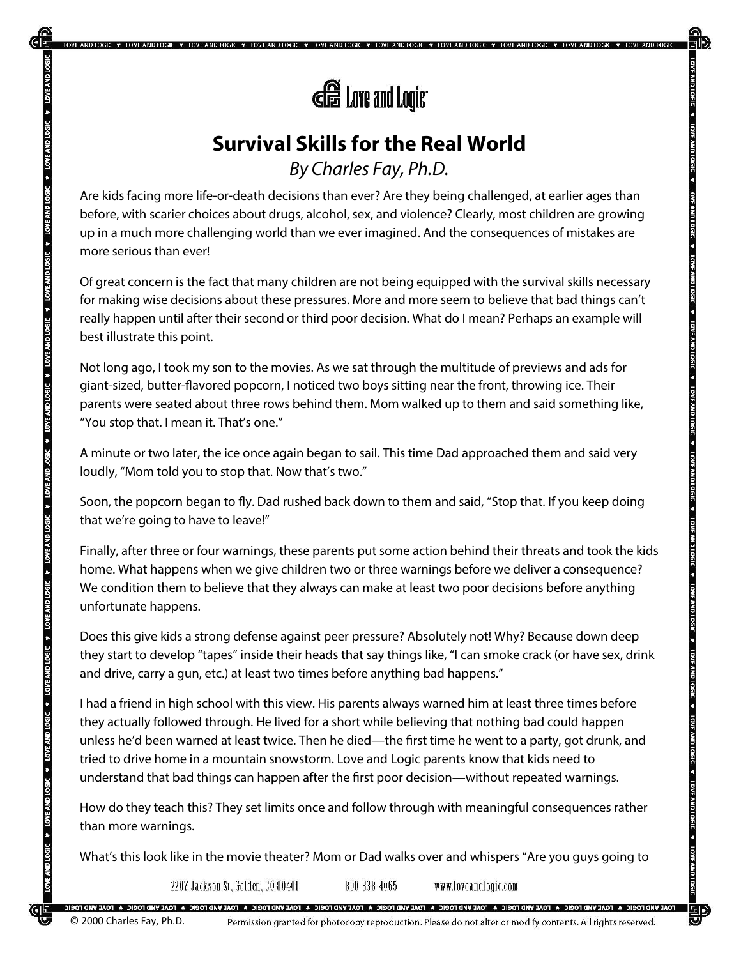

**v** LOVE AND LOGIC **v** LOVE AND LOGIC **v** LOVE AND LOGIC **v** LOVE AND LOGIC **v** LOVE AND LOGIC **v** LOVE AND LOGIC

**IDAL VAD TOPI** 

WO DOOL A LOVE AND LOGIC → LOOK AND LOGIC → LOVE AND LOGIC A LOVE AND LOGIC A LOVE AND LOGIC A LOVE AND LOGIC A LOVE AND LOGIC A LOVE AND LOGIC A LOVE AND LOGIC A LOVE AND LOGIC A LOVE AND LOGIC A LOVE AND LOGIC A LOVE AN

## **Survival Skills for the Real World**  *By Charles Fay, Ph.D.*

Are kids facing more life-or-death decisions than ever? Are they being challenged, at earlier ages than before, with scarier choices about drugs, alcohol, sex, and violence? Clearly, most children are growing up in a much more challenging world than we ever imagined. And the consequences of mistakes are more serious than ever!

Of great concern is the fact that many children are not being equipped with the survival skills necessary for making wise decisions about these pressures. More and more seem to believe that bad things can't really happen until after their second or third poor decision. What do I mean? Perhaps an example will best illustrate this point.

Not long ago, I took my son to the movies. As we sat through the multitude of previews and ads for giant-sized, butter-flavored popcorn, I noticed two boys sitting near the front, throwing ice. Their parents were seated about three rows behind them. Mom walked up to them and said something like, "You stop that. I mean it. That's one."

A minute or two later, the ice once again began to sail. This time Dad approached them and said very loudly, "Mom told you to stop that. Now that's two."

Soon, the popcorn began to fly. Dad rushed back down to them and said, "Stop that. If you keep doing that we're going to have to leave!"

Finally, after three or four warnings, these parents put some action behind their threats and took the kids home. What happens when we give children two or three warnings before we deliver a consequence? We condition them to believe that they always can make at least two poor decisions before anything unfortunate happens.

Does this give kids a strong defense against peer pressure? Absolutely not! Why? Because down deep they start to develop "tapes" inside their heads that say things like, "I can smoke crack (or have sex, drink and drive, carry a gun, etc.) at least two times before anything bad happens."

I had a friend in high school with this view. His parents always warned him at least three times before they actually followed through. He lived for a short while believing that nothing bad could happen unless he'd been warned at least twice. Then he died—the first time he went to a party, got drunk, and tried to drive home in a mountain snowstorm. Love and Logic parents know that kids need to understand that bad things can happen after the first poor decision—without repeated warnings.

How do they teach this? They set limits once and follow through with meaningful consequences rather than more warnings.

What's this look like in the movie theater? Mom or Dad walks over and whispers "Are you guys going to

2207 Jackson St. Golden, CO 80401

800-338-4065 www.loveandlogic.com